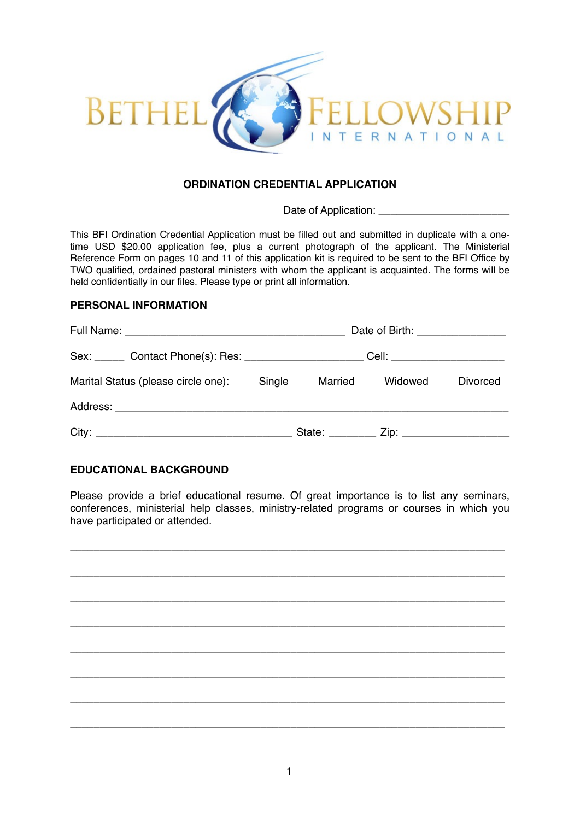

#### **ORDINATION CREDENTIAL APPLICATION**

Date of Application:

This BFI Ordination Credential Application must be filled out and submitted in duplicate with a onetime USD \$20.00 application fee, plus a current photograph of the applicant. The Ministerial Reference Form on pages 10 and 11 of this application kit is required to be sent to the BFI Office by TWO qualified, ordained pastoral ministers with whom the applicant is acquainted. The forms will be held confidentially in our files. Please type or print all information.

#### **PERSONAL INFORMATION**

|                                     |                               | Date of Birth: ________________ |         |                 |  |  |  |
|-------------------------------------|-------------------------------|---------------------------------|---------|-----------------|--|--|--|
|                                     | Cell: _______________________ |                                 |         |                 |  |  |  |
| Marital Status (please circle one): | Single                        | Married                         | Widowed | <b>Divorced</b> |  |  |  |
|                                     |                               |                                 |         |                 |  |  |  |
|                                     |                               |                                 |         |                 |  |  |  |

#### **EDUCATIONAL BACKGROUND**

Please provide a brief educational resume. Of great importance is to list any seminars, conferences, ministerial help classes, ministry-related programs or courses in which you have participated or attended.

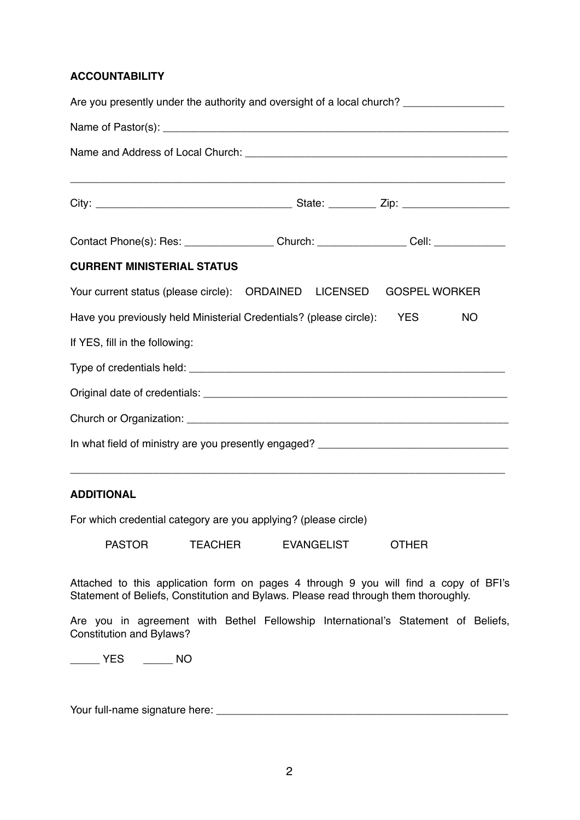#### **ACCOUNTABILITY**

| Are you presently under the authority and oversight of a local church? _________________             |                                                                                                                       |  |                      |           |  |  |
|------------------------------------------------------------------------------------------------------|-----------------------------------------------------------------------------------------------------------------------|--|----------------------|-----------|--|--|
|                                                                                                      |                                                                                                                       |  |                      |           |  |  |
|                                                                                                      |                                                                                                                       |  |                      |           |  |  |
| ,我们也不能在这里的人,我们也不能在这里的人,我们也不能在这里的人,我们也不能在这里的人,我们也不能在这里的人,我们也不能在这里的人,我们也不能在这里的人,我们也                    |                                                                                                                       |  |                      |           |  |  |
|                                                                                                      |                                                                                                                       |  |                      |           |  |  |
| Contact Phone(s): Res: ___________________Church: __________________Cell: __________________________ |                                                                                                                       |  |                      |           |  |  |
| <b>CURRENT MINISTERIAL STATUS</b>                                                                    |                                                                                                                       |  |                      |           |  |  |
| Your current status (please circle): ORDAINED LICENSED                                               |                                                                                                                       |  | <b>GOSPEL WORKER</b> |           |  |  |
| Have you previously held Ministerial Credentials? (please circle): YES                               |                                                                                                                       |  |                      | <b>NO</b> |  |  |
| If YES, fill in the following:                                                                       |                                                                                                                       |  |                      |           |  |  |
|                                                                                                      |                                                                                                                       |  |                      |           |  |  |
|                                                                                                      |                                                                                                                       |  |                      |           |  |  |
|                                                                                                      |                                                                                                                       |  |                      |           |  |  |
| In what field of ministry are you presently engaged? ____________________________                    |                                                                                                                       |  |                      |           |  |  |
|                                                                                                      | <u> 1989 - Johann Stoff, deutscher Stoff, der Stoff, der Stoff, der Stoff, der Stoff, der Stoff, der Stoff, der S</u> |  |                      |           |  |  |

# **ADDITIONAL**

For which credential category are you applying? (please circle)

PASTOR TEACHER EVANGELIST OTHER

Attached to this application form on pages 4 through 9 you will find a copy of BFI's Statement of Beliefs, Constitution and Bylaws. Please read through them thoroughly.

Are you in agreement with Bethel Fellowship International's Statement of Beliefs, Constitution and Bylaws?

\_\_\_\_\_ YES \_\_\_\_\_ NO

Your full-name signature here: \_\_\_\_\_\_\_\_\_\_\_\_\_\_\_\_\_\_\_\_\_\_\_\_\_\_\_\_\_\_\_\_\_\_\_\_\_\_\_\_\_\_\_\_\_\_\_\_\_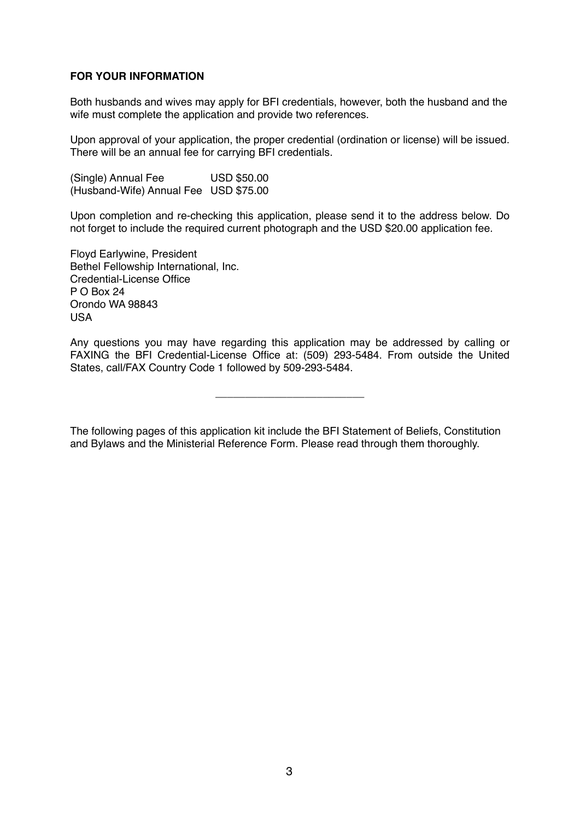#### **FOR YOUR INFORMATION**

Both husbands and wives may apply for BFI credentials, however, both the husband and the wife must complete the application and provide two references.

Upon approval of your application, the proper credential (ordination or license) will be issued. There will be an annual fee for carrying BFI credentials.

(Single) Annual Fee  $\qquad \qquad \text{USD $50.00}$ (Husband-Wife) Annual Fee USD \$75.00

Upon completion and re-checking this application, please send it to the address below. Do not forget to include the required current photograph and the USD \$20.00 application fee.

Floyd Earlywine, President Bethel Fellowship International, Inc. Credential-License Office P O Box 24 Orondo WA 98843 USA

Any questions you may have regarding this application may be addressed by calling or FAXING the BFI Credential-License Office at: (509) 293-5484. From outside the United States, call/FAX Country Code 1 followed by 509-293-5484.

\_\_\_\_\_\_\_\_\_\_\_\_\_\_\_\_\_\_\_\_\_\_\_\_\_

The following pages of this application kit include the BFI Statement of Beliefs, Constitution and Bylaws and the Ministerial Reference Form. Please read through them thoroughly.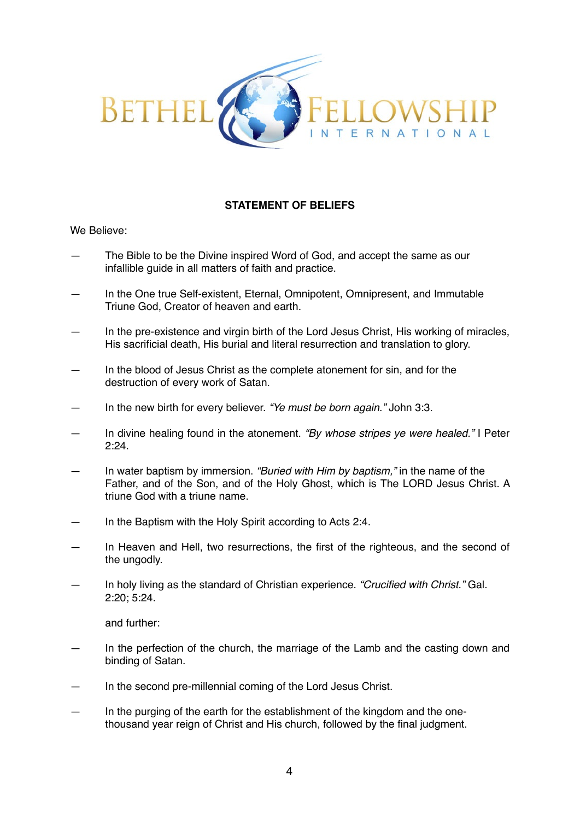

# **STATEMENT OF BELIEFS**

We Believe:

- The Bible to be the Divine inspired Word of God, and accept the same as our infallible guide in all matters of faith and practice.
- In the One true Self-existent, Eternal, Omnipotent, Omnipresent, and Immutable Triune God, Creator of heaven and earth.
- In the pre-existence and virgin birth of the Lord Jesus Christ, His working of miracles, His sacrificial death, His burial and literal resurrection and translation to glory.
- In the blood of Jesus Christ as the complete atonement for sin, and for the destruction of every work of Satan.
- In the new birth for every believer. *"Ye must be born again."* John 3:3.
- In divine healing found in the atonement. *"By whose stripes ye were healed."* I Peter 2:24.
- In water baptism by immersion. *"Buried with Him by baptism,"* in the name of the Father, and of the Son, and of the Holy Ghost, which is The LORD Jesus Christ. A triune God with a triune name.
- In the Baptism with the Holy Spirit according to Acts 2:4.
- In Heaven and Hell, two resurrections, the first of the righteous, and the second of the ungodly.
- In holy living as the standard of Christian experience. *"Crucified with Christ."* Gal. 2:20; 5:24.

and further:

- In the perfection of the church, the marriage of the Lamb and the casting down and binding of Satan.
- In the second pre-millennial coming of the Lord Jesus Christ.
- In the purging of the earth for the establishment of the kingdom and the onethousand year reign of Christ and His church, followed by the final judgment.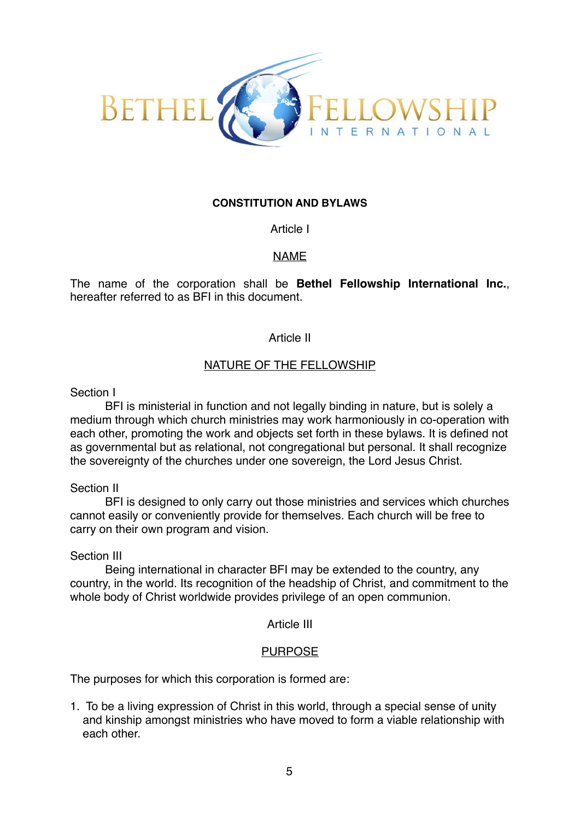

# **CONSTITUTION AND BYLAWS**

Article I

# NAME

The name of the corporation shall be **Bethel Fellowship International Inc.**, hereafter referred to as BFI in this document.

#### Article II

#### NATURE OF THE FELLOWSHIP

Section I

BFI is ministerial in function and not legally binding in nature, but is solely a medium through which church ministries may work harmoniously in co-operation with each other, promoting the work and objects set forth in these bylaws. It is defined not as governmental but as relational, not congregational but personal. It shall recognize the sovereignty of the churches under one sovereign, the Lord Jesus Christ.

Section II

BFI is designed to only carry out those ministries and services which churches cannot easily or conveniently provide for themselves. Each church will be free to carry on their own program and vision.

Section III

Being international in character BFI may be extended to the country, any country, in the world. Its recognition of the headship of Christ, and commitment to the whole body of Christ worldwide provides privilege of an open communion.

Article III

#### PURPOSE

The purposes for which this corporation is formed are:

1. To be a living expression of Christ in this world, through a special sense of unity and kinship amongst ministries who have moved to form a viable relationship with each other.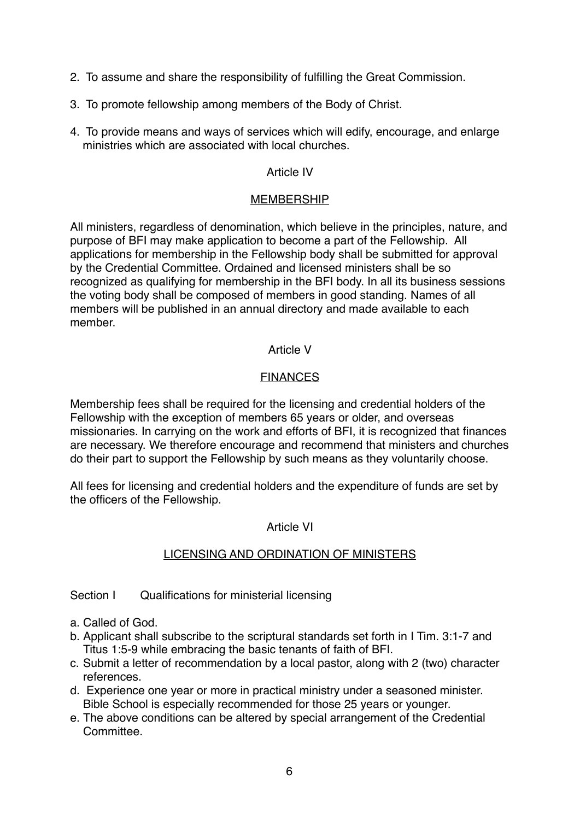- 2. To assume and share the responsibility of fulfilling the Great Commission.
- 3. To promote fellowship among members of the Body of Christ.
- 4. To provide means and ways of services which will edify, encourage, and enlarge ministries which are associated with local churches.

# Article IV

# MEMBERSHIP

All ministers, regardless of denomination, which believe in the principles, nature, and purpose of BFI may make application to become a part of the Fellowship. All applications for membership in the Fellowship body shall be submitted for approval by the Credential Committee. Ordained and licensed ministers shall be so recognized as qualifying for membership in the BFI body. In all its business sessions the voting body shall be composed of members in good standing. Names of all members will be published in an annual directory and made available to each member.

# Article V

# FINANCES

Membership fees shall be required for the licensing and credential holders of the Fellowship with the exception of members 65 years or older, and overseas missionaries. In carrying on the work and efforts of BFI, it is recognized that finances are necessary. We therefore encourage and recommend that ministers and churches do their part to support the Fellowship by such means as they voluntarily choose.

All fees for licensing and credential holders and the expenditure of funds are set by the officers of the Fellowship.

# Article VI

# LICENSING AND ORDINATION OF MINISTERS

Section I Qualifications for ministerial licensing

- a. Called of God.
- b. Applicant shall subscribe to the scriptural standards set forth in I Tim. 3:1-7 and Titus 1:5-9 while embracing the basic tenants of faith of BFI.
- c. Submit a letter of recommendation by a local pastor, along with 2 (two) character references.
- d. Experience one year or more in practical ministry under a seasoned minister. Bible School is especially recommended for those 25 years or younger.
- e. The above conditions can be altered by special arrangement of the Credential **Committee**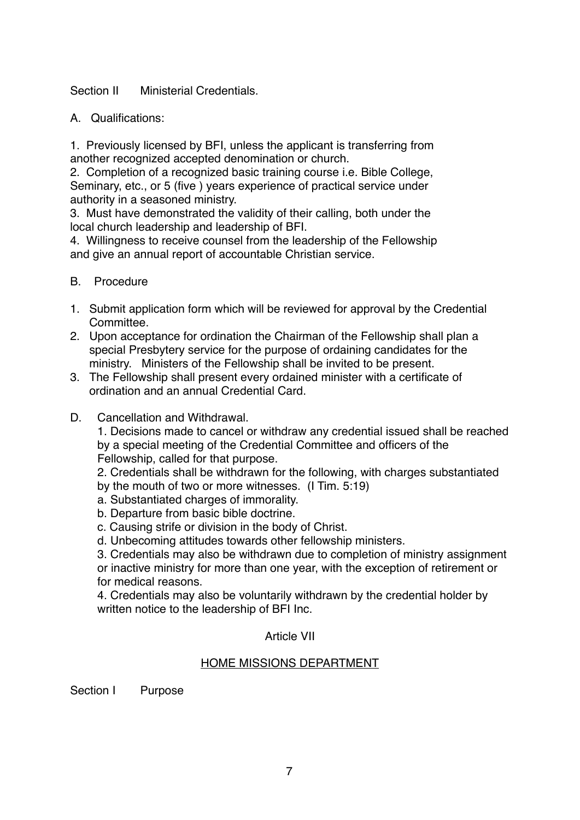Section II Ministerial Credentials.

A. Qualifications:

1. Previously licensed by BFI, unless the applicant is transferring from another recognized accepted denomination or church.

2. Completion of a recognized basic training course i.e. Bible College, Seminary, etc., or 5 (five ) years experience of practical service under authority in a seasoned ministry.

3. Must have demonstrated the validity of their calling, both under the local church leadership and leadership of BFI.

4. Willingness to receive counsel from the leadership of the Fellowship and give an annual report of accountable Christian service.

- B. Procedure
- 1. Submit application form which will be reviewed for approval by the Credential Committee.
- 2. Upon acceptance for ordination the Chairman of the Fellowship shall plan a special Presbytery service for the purpose of ordaining candidates for the ministry. Ministers of the Fellowship shall be invited to be present.
- 3. The Fellowship shall present every ordained minister with a certificate of ordination and an annual Credential Card.
- D. Cancellation and Withdrawal.

1. Decisions made to cancel or withdraw any credential issued shall be reached by a special meeting of the Credential Committee and officers of the Fellowship, called for that purpose.

2. Credentials shall be withdrawn for the following, with charges substantiated by the mouth of two or more witnesses. (I Tim. 5:19)

- a. Substantiated charges of immorality.
- b. Departure from basic bible doctrine.
- c. Causing strife or division in the body of Christ.
- d. Unbecoming attitudes towards other fellowship ministers.

3. Credentials may also be withdrawn due to completion of ministry assignment or inactive ministry for more than one year, with the exception of retirement or for medical reasons.

4. Credentials may also be voluntarily withdrawn by the credential holder by written notice to the leadership of BFI Inc.

# Article VII

# HOME MISSIONS DEPARTMENT

Section I Purpose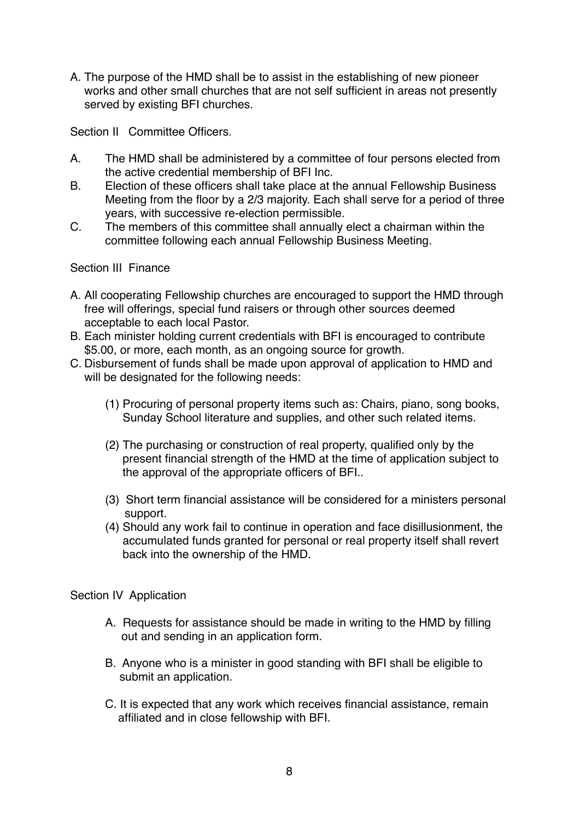A. The purpose of the HMD shall be to assist in the establishing of new pioneer works and other small churches that are not self sufficient in areas not presently served by existing BFI churches.

Section II Committee Officers.

- A. The HMD shall be administered by a committee of four persons elected from the active credential membership of BFI Inc.
- B. Election of these officers shall take place at the annual Fellowship Business Meeting from the floor by a 2/3 majority. Each shall serve for a period of three years, with successive re-election permissible.
- C. The members of this committee shall annually elect a chairman within the committee following each annual Fellowship Business Meeting.

# Section III Finance

- A. All cooperating Fellowship churches are encouraged to support the HMD through free will offerings, special fund raisers or through other sources deemed acceptable to each local Pastor.
- B. Each minister holding current credentials with BFI is encouraged to contribute \$5.00, or more, each month, as an ongoing source for growth.
- C. Disbursement of funds shall be made upon approval of application to HMD and will be designated for the following needs:
	- (1) Procuring of personal property items such as: Chairs, piano, song books, Sunday School literature and supplies, and other such related items.
	- (2) The purchasing or construction of real property, qualified only by the present financial strength of the HMD at the time of application subject to the approval of the appropriate officers of BFI..
	- (3) Short term financial assistance will be considered for a ministers personal support.
	- (4) Should any work fail to continue in operation and face disillusionment, the accumulated funds granted for personal or real property itself shall revert back into the ownership of the HMD.

# Section IV Application

- A. Requests for assistance should be made in writing to the HMD by filling out and sending in an application form.
- B. Anyone who is a minister in good standing with BFI shall be eligible to submit an application.
- C. It is expected that any work which receives financial assistance, remain affiliated and in close fellowship with BFI.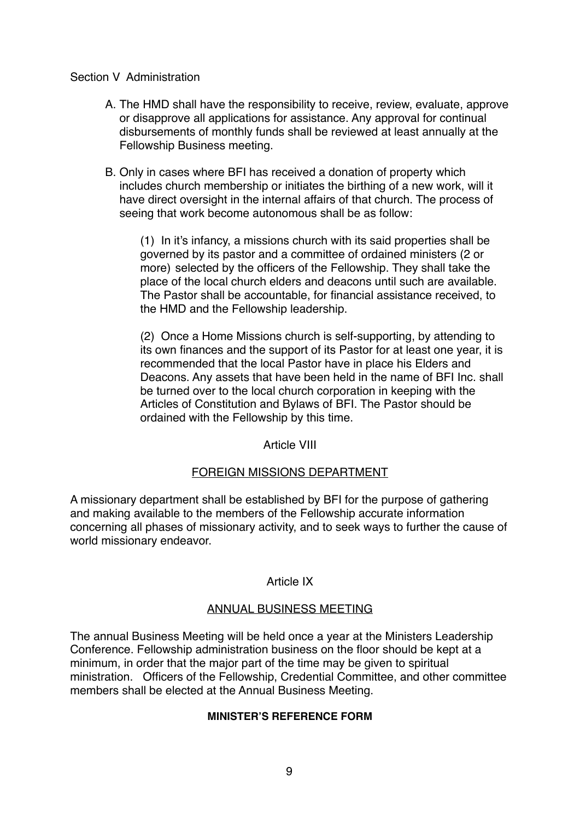# Section V Administration

- A. The HMD shall have the responsibility to receive, review, evaluate, approve or disapprove all applications for assistance. Any approval for continual disbursements of monthly funds shall be reviewed at least annually at the Fellowship Business meeting.
- B. Only in cases where BFI has received a donation of property which includes church membership or initiates the birthing of a new work, will it have direct oversight in the internal affairs of that church. The process of seeing that work become autonomous shall be as follow:

(1) In it's infancy, a missions church with its said properties shall be governed by its pastor and a committee of ordained ministers (2 or more) selected by the officers of the Fellowship. They shall take the place of the local church elders and deacons until such are available. The Pastor shall be accountable, for financial assistance received, to the HMD and the Fellowship leadership.

(2) Once a Home Missions church is self-supporting, by attending to its own finances and the support of its Pastor for at least one year, it is recommended that the local Pastor have in place his Elders and Deacons. Any assets that have been held in the name of BFI Inc. shall be turned over to the local church corporation in keeping with the Articles of Constitution and Bylaws of BFI. The Pastor should be ordained with the Fellowship by this time.

# Article VIII

# FOREIGN MISSIONS DEPARTMENT

A missionary department shall be established by BFI for the purpose of gathering and making available to the members of the Fellowship accurate information concerning all phases of missionary activity, and to seek ways to further the cause of world missionary endeavor.

#### Article IX

# ANNUAL BUSINESS MEETING

The annual Business Meeting will be held once a year at the Ministers Leadership Conference. Fellowship administration business on the floor should be kept at a minimum, in order that the major part of the time may be given to spiritual ministration. Officers of the Fellowship, Credential Committee, and other committee members shall be elected at the Annual Business Meeting.

#### **MINISTER'S REFERENCE FORM**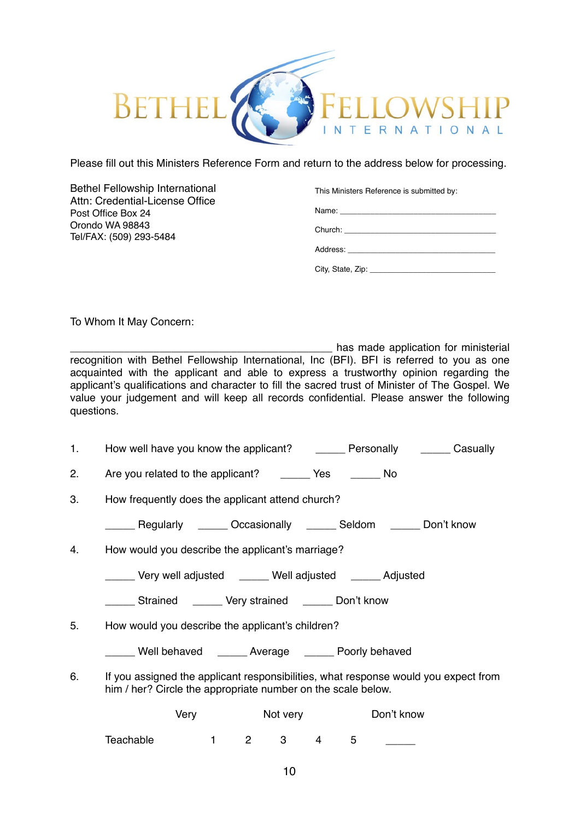

Please fill out this Ministers Reference Form and return to the address below for processing.

Bethel Fellowship International Attn: Credential-License Office Post Office Box 24 Orondo WA 98843 Tel/FAX: (509) 293-5484!!!

#### This Ministers Reference is submitted by:

Name:

Church: \_\_\_\_\_

| Address: |  |  |  |
|----------|--|--|--|

City, State, Zip: \_\_\_\_\_\_\_\_\_\_\_\_\_\_\_\_\_\_\_\_\_\_\_\_\_\_\_\_\_

To Whom It May Concern:

has made application for ministerial recognition with Bethel Fellowship International, Inc (BFI). BFI is referred to you as one acquainted with the applicant and able to express a trustworthy opinion regarding the applicant's qualifications and character to fill the sacred trust of Minister of The Gospel. We value your judgement and will keep all records confidential. Please answer the following questions.

|  | How well have you know the applicant? | Personally | Casually |
|--|---------------------------------------|------------|----------|
|--|---------------------------------------|------------|----------|

| Are you related to the applicant? | Yes | No |
|-----------------------------------|-----|----|

|  | 3. | How frequently does the applicant attend church? |
|--|----|--------------------------------------------------|
|--|----|--------------------------------------------------|

\_\_\_\_\_ Regularly \_\_\_\_\_ Occasionally \_\_\_\_\_ Seldom \_\_\_\_\_ Don't know

- 4. How would you describe the applicant's marriage?
	- \_\_\_\_\_ Very well adjusted \_\_\_\_\_ Well adjusted \_\_\_\_\_ Adjusted
	- \_\_\_\_\_ Strained \_\_\_\_\_ Very strained \_\_\_\_\_ Don't know
- 5. How would you describe the applicant's children?

\_\_\_\_\_ Well behaved \_\_\_\_\_ Average \_\_\_\_\_ Poorly behaved

6. If you assigned the applicant responsibilities, what response would you expect from him / her? Circle the appropriate number on the scale below.

|           | Very | Not very |   | Don't know |
|-----------|------|----------|---|------------|
| Teachable |      |          | h |            |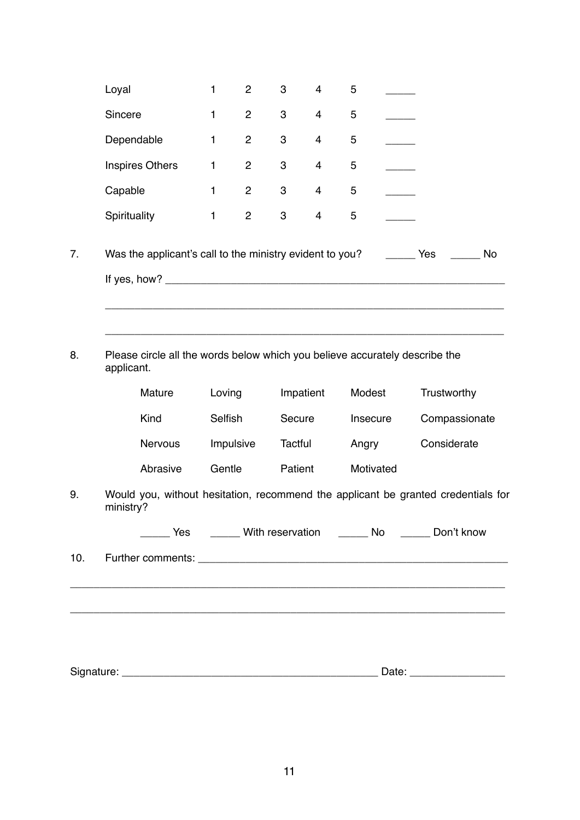| Loyal                                                                                               | $\mathbf{1}$ | $\overline{c}$ | 3              | $\overline{4}$ | 5      |                   |             |               |
|-----------------------------------------------------------------------------------------------------|--------------|----------------|----------------|----------------|--------|-------------------|-------------|---------------|
| Sincere                                                                                             | $\mathbf{1}$ | $\overline{c}$ | 3              | 4              | 5      |                   |             |               |
| Dependable                                                                                          | 1            | $\overline{c}$ | 3              | 4              | 5      |                   |             |               |
| <b>Inspires Others</b>                                                                              | 1            | $\overline{c}$ | 3              | 4              | 5      |                   |             |               |
| Capable                                                                                             | 1            | $\overline{c}$ | 3              | 4              | 5      |                   |             |               |
| Spirituality                                                                                        | 1            | $\overline{c}$ | 3              | 4              | 5      |                   |             |               |
| Was the applicant's call to the ministry evident to you?                                            |              |                |                |                |        | <b>Example ST</b> |             | No            |
| Please circle all the words below which you believe accurately describe the<br>applicant.<br>Mature | Loving       |                |                | Impatient      | Modest |                   | Trustworthy |               |
| Kind                                                                                                | Selfish      |                | Secure         |                |        | Insecure          |             | Compassionate |
| Nervous                                                                                             |              | Impulsive      | <b>Tactful</b> |                | Angry  |                   | Considerate |               |
| Abrasive                                                                                            | Gentle       |                | Patient        |                |        | Motivated         |             |               |
| Would you, without hesitation, recommend the applicant be granted credentials for<br>ministry?      |              |                |                |                |        |                   |             |               |
| _____ Yes ______ With reservation ______ No ______ Don't know                                       |              |                |                |                |        |                   |             |               |
|                                                                                                     |              |                |                |                |        |                   |             |               |
|                                                                                                     |              |                |                |                |        |                   |             |               |
|                                                                                                     |              |                |                |                |        |                   |             |               |
|                                                                                                     |              |                |                |                |        |                   |             |               |